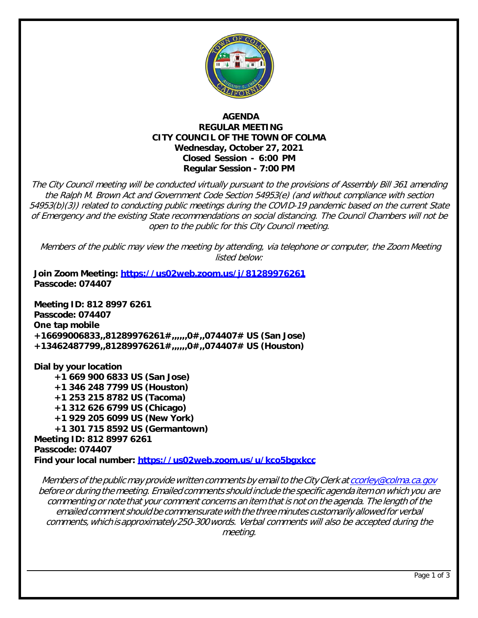

## **AGENDA REGULAR MEETING CITY COUNCIL OF THE TOWN OF COLMA Wednesday, October 27, 2021 Closed Session - 6:00 PM Regular Session - 7:00 PM**

The City Council meeting will be conducted virtually pursuant to the provisions of Assembly Bill 361 amending the Ralph M. Brown Act and Government Code Section 54953(e) (and without compliance with section 54953(b)(3)) related to conducting public meetings during the COVID-19 pandemic based on the current State of Emergency and the existing State recommendations on social distancing. The Council Chambers will not be open to the public for this City Council meeting.

Members of the public may view the meeting by attending, via telephone or computer, the Zoom Meeting listed below:

**Join Zoom Meeting:<https://us02web.zoom.us/j/81289976261> Passcode: 074407**

**Meeting ID: 812 8997 6261 Passcode: 074407 One tap mobile +16699006833,,81289976261#,,,,,,0#,,074407# US (San Jose) +13462487799,,81289976261#,,,,,,0#,,074407# US (Houston)**

**Dial by your location +1 669 900 6833 US (San Jose) +1 346 248 7799 US (Houston) +1 253 215 8782 US (Tacoma) +1 312 626 6799 US (Chicago) +1 929 205 6099 US (New York) +1 301 715 8592 US (Germantown) Meeting ID: 812 8997 6261 Passcode: 074407 Find your local number:<https://us02web.zoom.us/u/kco5bgxkcc>**

Members of the public may provide written comments by email to the City Clerk at [ccorley@colma.ca.gov](mailto:ccorley@colma.ca.gov) before or during the meeting. Emailed comments should include the specific agenda item on which you are commenting or note that your comment concerns an item that is not on the agenda. The length of the emailed comment should be commensurate with the three minutes customarily allowed for verbal comments,which isapproximately250-300words. Verbal comments will also be accepted during the meeting.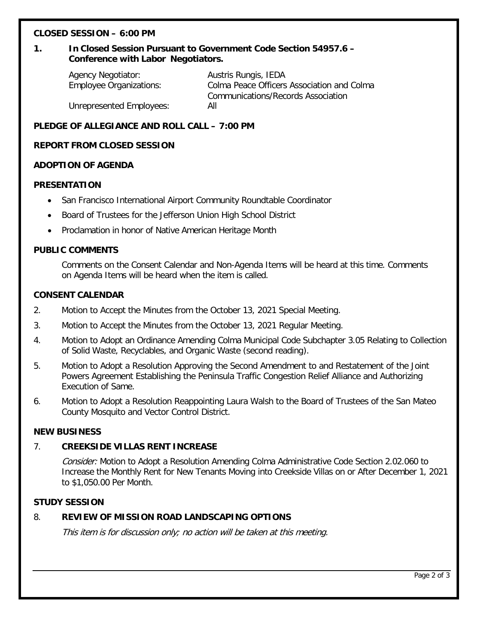## **CLOSED SESSION – 6:00 PM**

# **1. In Closed Session Pursuant to Government Code Section 54957.6 – Conference with Labor Negotiators.**

Agency Negotiator: Austris Rungis, IEDA Employee Organizations: Colma Peace Officers Association and Colma Communications/Records Association Unrepresented Employees: All

## **PLEDGE OF ALLEGIANCE AND ROLL CALL – 7:00 PM**

## **REPORT FROM CLOSED SESSION**

### **ADOPTION OF AGENDA**

### **PRESENTATION**

- San Francisco International Airport Community Roundtable Coordinator
- Board of Trustees for the Jefferson Union High School District
- Proclamation in honor of Native American Heritage Month

### **PUBLIC COMMENTS**

Comments on the Consent Calendar and Non-Agenda Items will be heard at this time. Comments on Agenda Items will be heard when the item is called.

#### **CONSENT CALENDAR**

- 2. Motion to Accept the Minutes from the October 13, 2021 Special Meeting.
- 3. Motion to Accept the Minutes from the October 13, 2021 Regular Meeting.
- 4. Motion to Adopt an Ordinance Amending Colma Municipal Code Subchapter 3.05 Relating to Collection of Solid Waste, Recyclables, and Organic Waste (second reading).
- 5. Motion to Adopt a Resolution Approving the Second Amendment to and Restatement of the Joint Powers Agreement Establishing the Peninsula Traffic Congestion Relief Alliance and Authorizing Execution of Same.
- 6. Motion to Adopt a Resolution Reappointing Laura Walsh to the Board of Trustees of the San Mateo County Mosquito and Vector Control District.

#### **NEW BUSINESS**

## 7. **CREEKSIDE VILLAS RENT INCREASE**

Consider: Motion to Adopt a Resolution Amending Colma Administrative Code Section 2.02.060 to Increase the Monthly Rent for New Tenants Moving into Creekside Villas on or After December 1, 2021 to \$1,050.00 Per Month.

### **STUDY SESSION**

## 8. **REVIEW OF MISSION ROAD LANDSCAPING OPTIONS**

This item is for discussion only; no action will be taken at this meeting.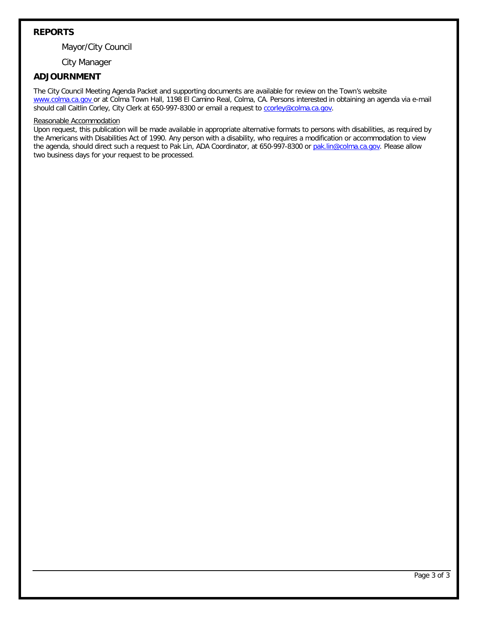## **REPORTS**

Mayor/City Council

City Manager

## **ADJOURNMENT**

The City Council Meeting Agenda Packet and supporting documents are available for review on the Town's website [www.colma.ca.gov](http://www.colma.ca.gov/) or at Colma Town Hall, 1198 El Camino Real, Colma, CA. Persons interested in obtaining an agenda via e-mail should call Caitlin Corley, City Clerk at 650-997-8300 or email a request t[o ccorley@colma.ca.gov.](mailto:ccorley@colma.ca.gov)

#### Reasonable Accommodation

Upon request, this publication will be made available in appropriate alternative formats to persons with disabilities, as required by the Americans with Disabilities Act of 1990. Any person with a disability, who requires a modification or accommodation to view the agenda, should direct such a request to Pak Lin, ADA Coordinator, at 650-997-8300 or [pak.lin@colma.ca.gov.](mailto:pak.lin@colma.ca.gov) Please allow two business days for your request to be processed.